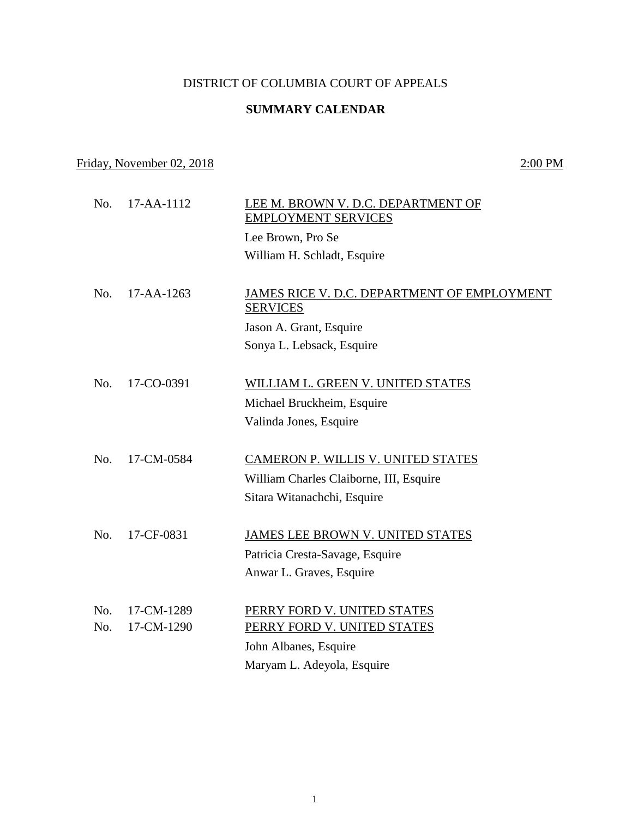## DISTRICT OF COLUMBIA COURT OF APPEALS

## **SUMMARY CALENDAR**

## Friday, November 02, 2018 2:00 PM

No. 17-AA-1112 LEE M. BROWN V. D.C. DEPARTMENT OF EMPLOYMENT SERVICES Lee Brown, Pro Se William H. Schladt, Esquire No. 17-AA-1263 JAMES RICE V. D.C. DEPARTMENT OF EMPLOYMENT SERVICES Jason A. Grant, Esquire Sonya L. Lebsack, Esquire No. 17-CO-0391 WILLIAM L. GREEN V. UNITED STATES Michael Bruckheim, Esquire Valinda Jones, Esquire No. 17-CM-0584 CAMERON P. WILLIS V. UNITED STATES William Charles Claiborne, III, Esquire Sitara Witanachchi, Esquire No. 17-CF-0831 JAMES LEE BROWN V. UNITED STATES Patricia Cresta-Savage, Esquire Anwar L. Graves, Esquire No. 17-CM-1289 PERRY FORD V. UNITED STATES No. 17-CM-1290 PERRY FORD V. UNITED STATES John Albanes, Esquire Maryam L. Adeyola, Esquire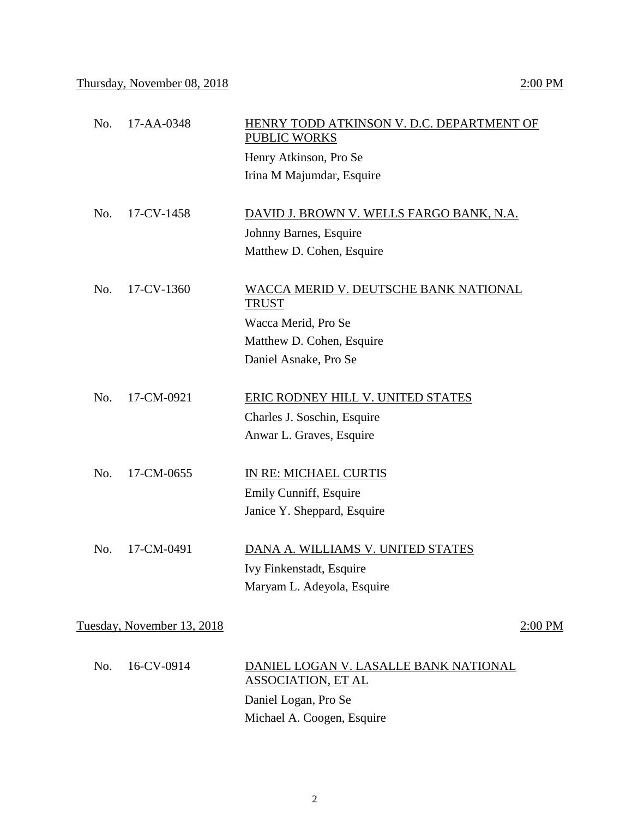| No. | 17-AA-0348                 | HENRY TODD ATKINSON V. D.C. DEPARTMENT OF<br><b>PUBLIC WORKS</b>   |           |
|-----|----------------------------|--------------------------------------------------------------------|-----------|
|     |                            | Henry Atkinson, Pro Se                                             |           |
|     |                            | Irina M Majumdar, Esquire                                          |           |
| No. | 17-CV-1458                 | DAVID J. BROWN V. WELLS FARGO BANK, N.A.                           |           |
|     |                            | Johnny Barnes, Esquire                                             |           |
|     |                            | Matthew D. Cohen, Esquire                                          |           |
| No. | 17-CV-1360                 | <b>WACCA MERID V. DEUTSCHE BANK NATIONAL</b><br><b>TRUST</b>       |           |
|     |                            | Wacca Merid, Pro Se                                                |           |
|     |                            | Matthew D. Cohen, Esquire                                          |           |
|     |                            | Daniel Asnake, Pro Se                                              |           |
| No. | 17-CM-0921                 | ERIC RODNEY HILL V. UNITED STATES                                  |           |
|     |                            | Charles J. Soschin, Esquire                                        |           |
|     |                            | Anwar L. Graves, Esquire                                           |           |
| No. | 17-CM-0655                 | IN RE: MICHAEL CURTIS                                              |           |
|     |                            | Emily Cunniff, Esquire                                             |           |
|     |                            | Janice Y. Sheppard, Esquire                                        |           |
| No. | 17-CM-0491                 | DANA A. WILLIAMS V. UNITED STATES                                  |           |
|     |                            | Ivy Finkenstadt, Esquire                                           |           |
|     |                            | Maryam L. Adeyola, Esquire                                         |           |
|     | Tuesday, November 13, 2018 |                                                                    | $2:00$ PM |
|     |                            |                                                                    |           |
| No. | 16-CV-0914                 | DANIEL LOGAN V. LASALLE BANK NATIONAL<br><b>ASSOCIATION, ET AL</b> |           |
|     |                            | Daniel Logan, Pro Se                                               |           |
|     |                            | Michael A. Coogen, Esquire                                         |           |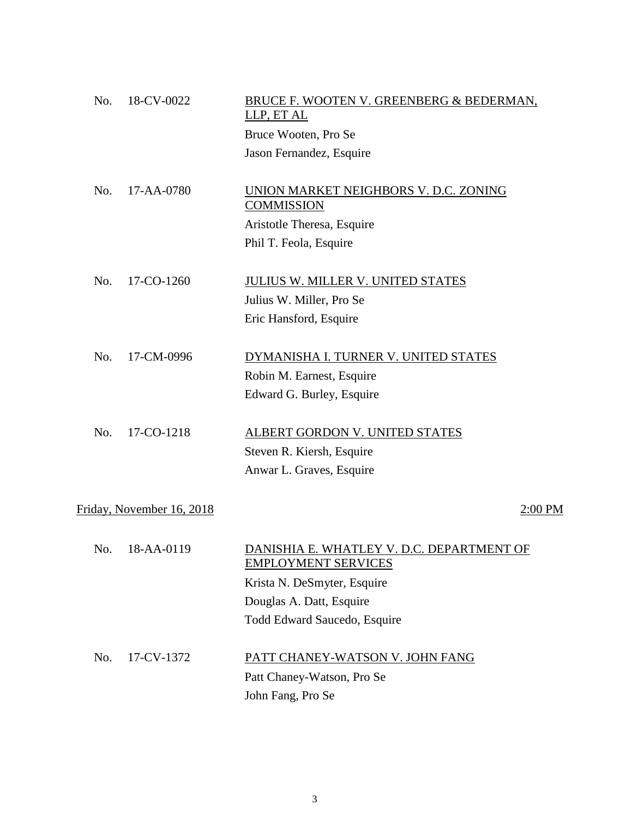| No. | 18-CV-0022                | BRUCE F. WOOTEN V. GREENBERG & BEDERMAN,<br>LLP, ET AL                  |
|-----|---------------------------|-------------------------------------------------------------------------|
|     |                           | Bruce Wooten, Pro Se                                                    |
|     |                           | Jason Fernandez, Esquire                                                |
| No. | 17-AA-0780                | UNION MARKET NEIGHBORS V. D.C. ZONING<br><b>COMMISSION</b>              |
|     |                           | Aristotle Theresa, Esquire                                              |
|     |                           | Phil T. Feola, Esquire                                                  |
| No. | 17-CO-1260                | JULIUS W. MILLER V. UNITED STATES                                       |
|     |                           | Julius W. Miller, Pro Se                                                |
|     |                           | Eric Hansford, Esquire                                                  |
| No. | 17-CM-0996                | DYMANISHA I. TURNER V. UNITED STATES                                    |
|     |                           | Robin M. Earnest, Esquire                                               |
|     |                           | Edward G. Burley, Esquire                                               |
| No. | 17-CO-1218                | ALBERT GORDON V. UNITED STATES                                          |
|     |                           | Steven R. Kiersh, Esquire                                               |
|     |                           | Anwar L. Graves, Esquire                                                |
|     | Friday, November 16, 2018 | 2:00 PM                                                                 |
|     |                           |                                                                         |
| No. | 18-AA-0119                | DANISHIA E. WHATLEY V. D.C. DEPARTMENT OF<br><b>EMPLOYMENT SERVICES</b> |
|     |                           | Krista N. DeSmyter, Esquire                                             |
|     |                           | Douglas A. Datt, Esquire                                                |
|     |                           | Todd Edward Saucedo, Esquire                                            |
| No. | 17-CV-1372                | PATT CHANEY-WATSON V. JOHN FANG                                         |
|     |                           | Patt Chaney-Watson, Pro Se                                              |
|     |                           | John Fang, Pro Se                                                       |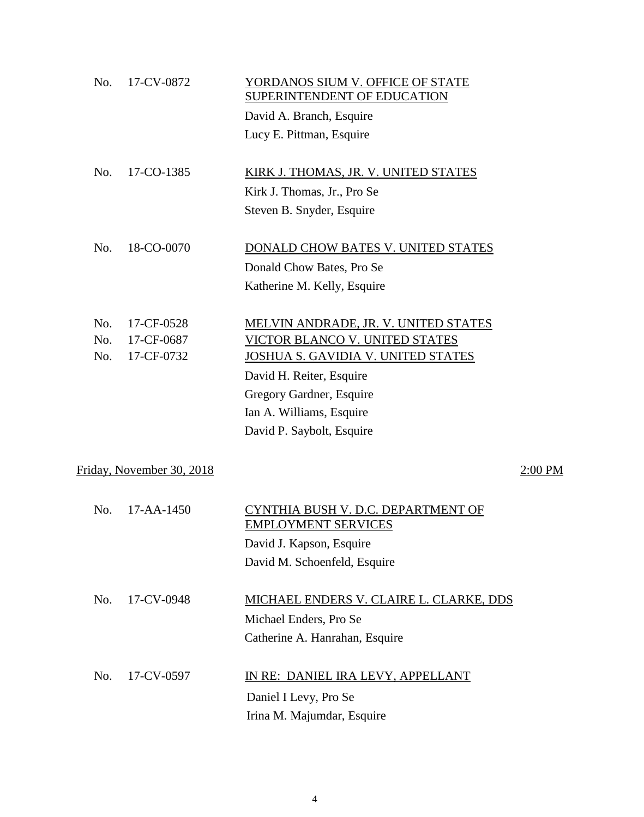| No.                                  | 17-CV-0872       | YORDANOS SIUM V. OFFICE OF STATE<br>SUPERINTENDENT OF EDUCATION  |  |  |
|--------------------------------------|------------------|------------------------------------------------------------------|--|--|
|                                      |                  | David A. Branch, Esquire                                         |  |  |
|                                      |                  | Lucy E. Pittman, Esquire                                         |  |  |
| No.                                  | 17-CO-1385       | KIRK J. THOMAS, JR. V. UNITED STATES                             |  |  |
|                                      |                  | Kirk J. Thomas, Jr., Pro Se                                      |  |  |
|                                      |                  | Steven B. Snyder, Esquire                                        |  |  |
| No.                                  | 18-CO-0070       | DONALD CHOW BATES V. UNITED STATES                               |  |  |
|                                      |                  | Donald Chow Bates, Pro Se                                        |  |  |
|                                      |                  | Katherine M. Kelly, Esquire                                      |  |  |
| No.                                  | 17-CF-0528       | MELVIN ANDRADE, JR. V. UNITED STATES                             |  |  |
| No.                                  | 17-CF-0687       | VICTOR BLANCO V. UNITED STATES                                   |  |  |
| No.                                  | 17-CF-0732       | JOSHUA S. GAVIDIA V. UNITED STATES                               |  |  |
|                                      |                  | David H. Reiter, Esquire                                         |  |  |
|                                      |                  | Gregory Gardner, Esquire                                         |  |  |
|                                      |                  | Ian A. Williams, Esquire                                         |  |  |
|                                      |                  | David P. Saybolt, Esquire                                        |  |  |
| Friday, November 30, 2018<br>2:00 PM |                  |                                                                  |  |  |
| No.                                  | $17 - AA - 1450$ | CYNTHIA BUSH V. D.C. DEPARTMENT OF<br><b>EMPLOYMENT SERVICES</b> |  |  |
|                                      |                  | David J. Kapson, Esquire                                         |  |  |
|                                      |                  | David M. Schoenfeld, Esquire                                     |  |  |
|                                      |                  |                                                                  |  |  |
| No.                                  | 17-CV-0948       | MICHAEL ENDERS V. CLAIRE L. CLARKE, DDS                          |  |  |
|                                      |                  | Michael Enders, Pro Se                                           |  |  |
|                                      |                  | Catherine A. Hanrahan, Esquire                                   |  |  |
| No.                                  | 17-CV-0597       | IN RE: DANIEL IRA LEVY, APPELLANT                                |  |  |
|                                      |                  | Daniel I Levy, Pro Se                                            |  |  |
|                                      |                  | Irina M. Majumdar, Esquire                                       |  |  |